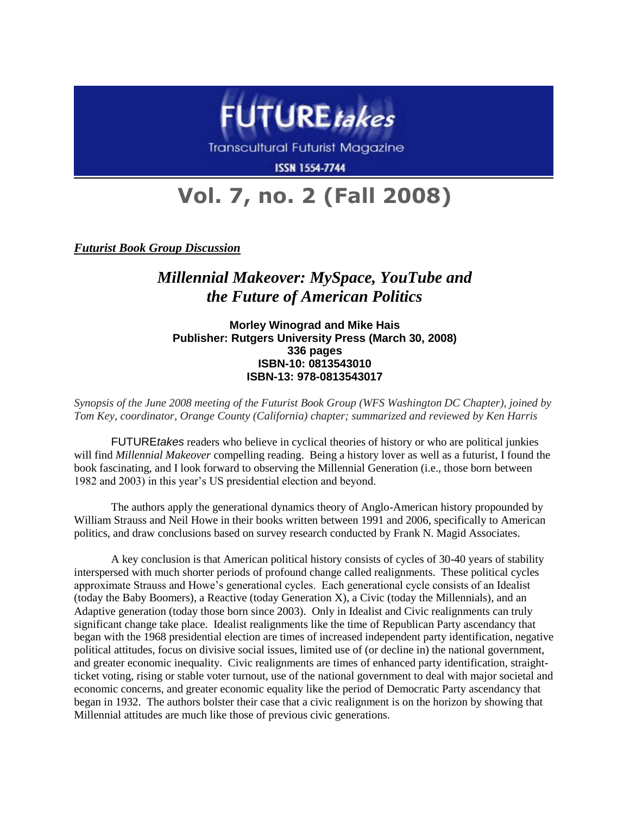

Transcultural Futurist Magazine

**ISSN 1554-7744** 

## **Vol. 7, no. 2 (Fall 2008)**

*Futurist Book Group Discussion*

## *Millennial Makeover: MySpace, YouTube and the Future of American Politics*

**Morley Winograd and Mike Hais Publisher: Rutgers University Press (March 30, 2008) 336 pages ISBN-10: 0813543010 ISBN-13: 978-0813543017**

*Synopsis of the June 2008 meeting of the Futurist Book Group (WFS Washington DC Chapter), joined by Tom Key, coordinator, Orange County (California) chapter; summarized and reviewed by Ken Harris*

FUTURE*takes* readers who believe in cyclical theories of history or who are political junkies will find *Millennial Makeover* compelling reading. Being a history lover as well as a futurist, I found the book fascinating, and I look forward to observing the Millennial Generation (i.e., those born between 1982 and 2003) in this year's US presidential election and beyond.

The authors apply the generational dynamics theory of Anglo-American history propounded by William Strauss and Neil Howe in their books written between 1991 and 2006, specifically to American politics, and draw conclusions based on survey research conducted by Frank N. Magid Associates.

A key conclusion is that American political history consists of cycles of 30-40 years of stability interspersed with much shorter periods of profound change called realignments. These political cycles approximate Strauss and Howe's generational cycles. Each generational cycle consists of an Idealist (today the Baby Boomers), a Reactive (today Generation X), a Civic (today the Millennials), and an Adaptive generation (today those born since 2003). Only in Idealist and Civic realignments can truly significant change take place. Idealist realignments like the time of Republican Party ascendancy that began with the 1968 presidential election are times of increased independent party identification, negative political attitudes, focus on divisive social issues, limited use of (or decline in) the national government, and greater economic inequality. Civic realignments are times of enhanced party identification, straightticket voting, rising or stable voter turnout, use of the national government to deal with major societal and economic concerns, and greater economic equality like the period of Democratic Party ascendancy that began in 1932. The authors bolster their case that a civic realignment is on the horizon by showing that Millennial attitudes are much like those of previous civic generations.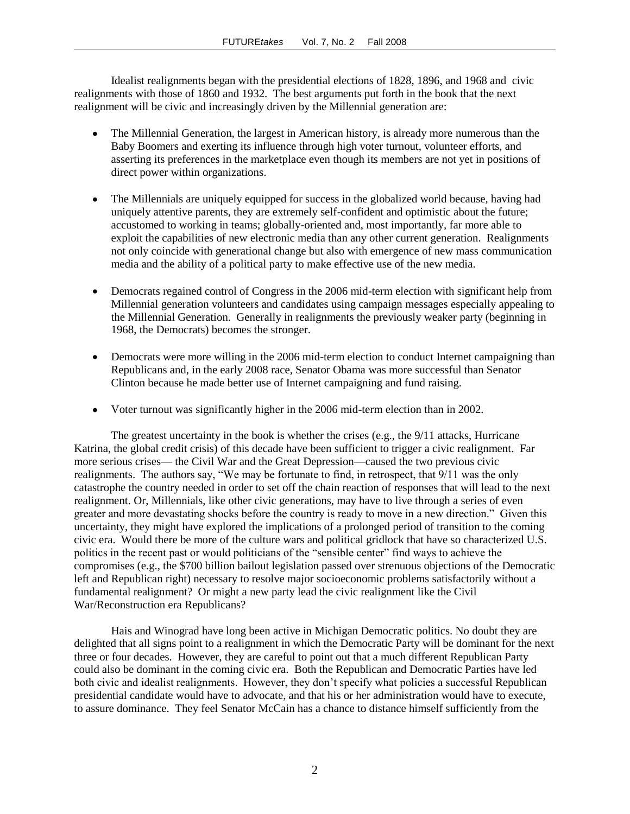Idealist realignments began with the presidential elections of 1828, 1896, and 1968 and civic realignments with those of 1860 and 1932. The best arguments put forth in the book that the next realignment will be civic and increasingly driven by the Millennial generation are:

- The Millennial Generation, the largest in American history, is already more numerous than the Baby Boomers and exerting its influence through high voter turnout, volunteer efforts, and asserting its preferences in the marketplace even though its members are not yet in positions of direct power within organizations.
- The Millennials are uniquely equipped for success in the globalized world because, having had uniquely attentive parents, they are extremely self-confident and optimistic about the future; accustomed to working in teams; globally-oriented and, most importantly, far more able to exploit the capabilities of new electronic media than any other current generation. Realignments not only coincide with generational change but also with emergence of new mass communication media and the ability of a political party to make effective use of the new media.
- Democrats regained control of Congress in the 2006 mid-term election with significant help from Millennial generation volunteers and candidates using campaign messages especially appealing to the Millennial Generation. Generally in realignments the previously weaker party (beginning in 1968, the Democrats) becomes the stronger.
- Democrats were more willing in the 2006 mid-term election to conduct Internet campaigning than  $\bullet$ Republicans and, in the early 2008 race, Senator Obama was more successful than Senator Clinton because he made better use of Internet campaigning and fund raising.
- Voter turnout was significantly higher in the 2006 mid-term election than in 2002.  $\bullet$

The greatest uncertainty in the book is whether the crises (e.g., the 9/11 attacks, Hurricane Katrina, the global credit crisis) of this decade have been sufficient to trigger a civic realignment. Far more serious crises— the Civil War and the Great Depression—caused the two previous civic realignments. The authors say, "We may be fortunate to find, in retrospect, that 9/11 was the only catastrophe the country needed in order to set off the chain reaction of responses that will lead to the next realignment. Or, Millennials, like other civic generations, may have to live through a series of even greater and more devastating shocks before the country is ready to move in a new direction." Given this uncertainty, they might have explored the implications of a prolonged period of transition to the coming civic era. Would there be more of the culture wars and political gridlock that have so characterized U.S. politics in the recent past or would politicians of the "sensible center" find ways to achieve the compromises (e.g., the \$700 billion bailout legislation passed over strenuous objections of the Democratic left and Republican right) necessary to resolve major socioeconomic problems satisfactorily without a fundamental realignment? Or might a new party lead the civic realignment like the Civil War/Reconstruction era Republicans?

Hais and Winograd have long been active in Michigan Democratic politics. No doubt they are delighted that all signs point to a realignment in which the Democratic Party will be dominant for the next three or four decades. However, they are careful to point out that a much different Republican Party could also be dominant in the coming civic era. Both the Republican and Democratic Parties have led both civic and idealist realignments. However, they don't specify what policies a successful Republican presidential candidate would have to advocate, and that his or her administration would have to execute, to assure dominance. They feel Senator McCain has a chance to distance himself sufficiently from the